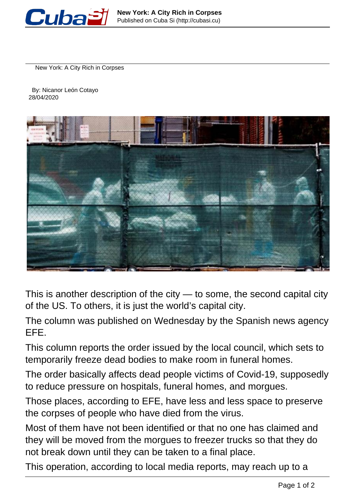

New York: A City Rich in Corpses

 By: Nicanor León Cotayo 28/04/2020



This is another description of the city — to some, the second capital city of the US. To others, it is just the world's capital city.

The column was published on Wednesday by the Spanish news agency EFE.

This column reports the order issued by the local council, which sets to temporarily freeze dead bodies to make room in funeral homes.

The order basically affects dead people victims of Covid-19, supposedly to reduce pressure on hospitals, funeral homes, and morgues.

Those places, according to EFE, have less and less space to preserve the corpses of people who have died from the virus.

Most of them have not been identified or that no one has claimed and they will be moved from the morgues to freezer trucks so that they do not break down until they can be taken to a final place.

This operation, according to local media reports, may reach up to a